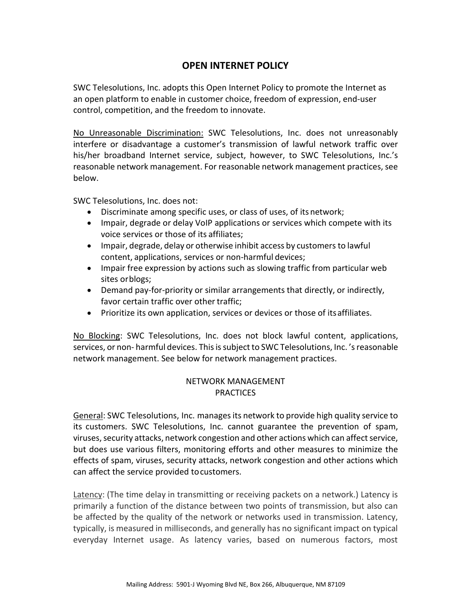## **OPEN INTERNET POLICY**

SWC Telesolutions, Inc. adopts this Open Internet Policy to promote the Internet as an open platform to enable in customer choice, freedom of expression, end-user control, competition, and the freedom to innovate.

No Unreasonable Discrimination: SWC Telesolutions, Inc. does not unreasonably interfere or disadvantage a customer's transmission of lawful network traffic over his/her broadband Internet service, subject, however, to SWC Telesolutions, Inc.'s reasonable network management. For reasonable network management practices, see below.

SWC Telesolutions, Inc. does not:

- Discriminate among specific uses, or class of uses, of itsnetwork;
- Impair, degrade or delay VoIP applications or services which compete with its voice services or those of its affiliates;
- Impair, degrade, delay or otherwise inhibit access by customers to lawful content, applications, services or non-harmful devices;
- Impair free expression by actions such as slowing traffic from particular web sites orblogs;
- Demand pay-for-priority or similar arrangements that directly, or indirectly, favor certain traffic over other traffic;
- Prioritize its own application, services or devices or those of itsaffiliates.

No Blocking: SWC Telesolutions, Inc. does not block lawful content, applications, services, or non- harmful devices. This is subject to SWC Telesolutions, Inc. 'sreasonable network management. See below for network management practices.

## NETWORK MANAGEMENT **PRACTICES**

General: SWC Telesolutions, Inc. managesits network to provide high quality service to its customers. SWC Telesolutions, Inc. cannot guarantee the prevention of spam, viruses, security attacks, network congestion and other actions which can affect service, but does use various filters, monitoring efforts and other measures to minimize the effects of spam, viruses, security attacks, network congestion and other actions which can affect the service provided tocustomers.

Latency: (The time delay in transmitting or receiving packets on a network.) Latency is primarily a function of the distance between two points of transmission, but also can be affected by the quality of the network or networks used in transmission. Latency, typically, is measured in milliseconds, and generally has no significant impact on typical everyday Internet usage. As latency varies, based on numerous factors, most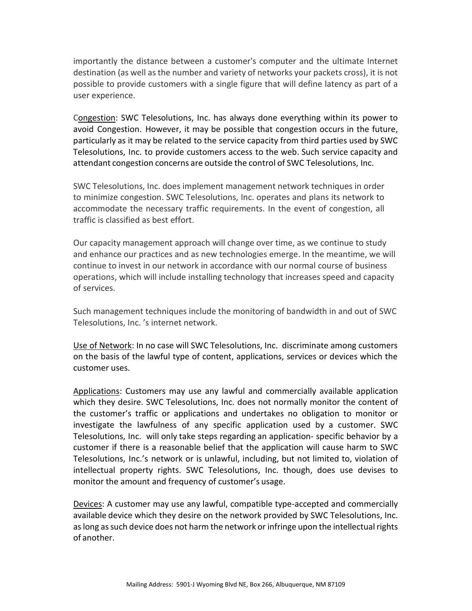importantly the distance between a customer's computer and the ultimate Internet destination (as well as the number and variety of networks your packets cross), it is not possible to provide customers with a single figure that will define latency as part of a user experience.

Congestion: SWC Telesolutions, Inc. has always done everything within its power to avoid Congestion. However, it may be possible that congestion occurs in the future, particularly as it may be related to the service capacity from third parties used by SWC Telesolutions, Inc. to provide customers access to the web. Such service capacity and attendant congestion concerns are outside the control of SWC Telesolutions, Inc.

SWC Telesolutions, Inc. does implement management network techniques in order to minimize congestion. SWC Telesolutions, Inc. operates and plans its network to accommodate the necessary traffic requirements. In the event of congestion, all traffic is classified as best effort.

Our capacity management approach will change over time, as we continue to study and enhance our practices and as new technologies emerge. In the meantime, we will continue to invest in our network in accordance with our normal course of business operations, which will include installing technology that increases speed and capacity of services.

Such management techniques include the monitoring of bandwidth in and out of SWC Telesolutions, Inc. 's internet network.

Use of Network: In no case will SWC Telesolutions, Inc. discriminate among customers on the basis of the lawful type of content, applications, services or devices which the customer uses.

Applications: Customers may use any lawful and commercially available application which they desire. SWC Telesolutions, Inc. does not normally monitor the content of the customer's traffic or applications and undertakes no obligation to monitor or investigate the lawfulness of any specific application used by a customer. SWC Telesolutions, Inc. will only take steps regarding an application- specific behavior by a customer if there is a reasonable belief that the application will cause harm to SWC Telesolutions, Inc.'s network or is unlawful, including, but not limited to, violation of intellectual property rights. SWC Telesolutions, Inc. though, does use devises to monitor the amount and frequency of customer's usage.

Devices: A customer may use any lawful, compatible type-accepted and commercially available device which they desire on the network provided by SWC Telesolutions, Inc. as long as such device does not harm the network or infringe upon the intellectual rights of another.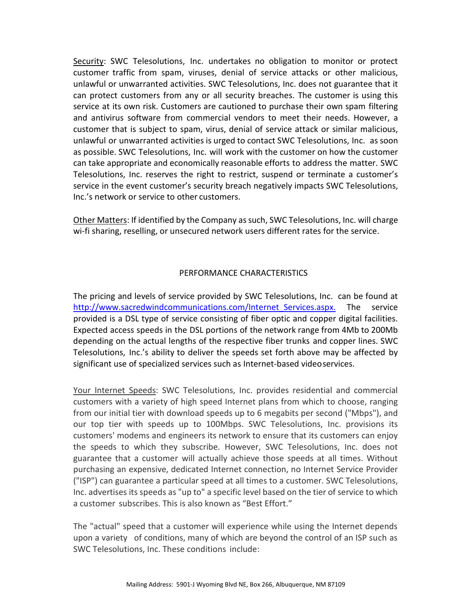Security: SWC Telesolutions, Inc. undertakes no obligation to monitor or protect customer traffic from spam, viruses, denial of service attacks or other malicious, unlawful or unwarranted activities. SWC Telesolutions, Inc. does not guarantee that it can protect customers from any or all security breaches. The customer is using this service at its own risk. Customers are cautioned to purchase their own spam filtering and antivirus software from commercial vendors to meet their needs. However, a customer that is subject to spam, virus, denial of service attack or similar malicious, unlawful or unwarranted activities is urged to contact SWC Telesolutions, Inc. as soon as possible. SWC Telesolutions, Inc. will work with the customer on how the customer can take appropriate and economically reasonable efforts to address the matter. SWC Telesolutions, Inc. reserves the right to restrict, suspend or terminate a customer's service in the event customer's security breach negatively impacts SWC Telesolutions, Inc.'s network or service to other customers.

Other Matters: If identified by the Company as such, SWC Telesolutions, Inc. will charge wi-fi sharing, reselling, or unsecured network users different rates for the service.

## PERFORMANCE CHARACTERISTICS

The pricing and levels of service provided by SWC Telesolutions, Inc. can be found at [http://www.sacredwindcommunications.com/Internet\\_Services.aspx.](http://www.sacredwindcommunications.com/Internet_Services.aspx.) The service provided is a DSL type of service consisting of fiber optic and copper digital facilities. Expected access speeds in the DSL portions of the network range from 4Mb to 200Mb depending on the actual lengths of the respective fiber trunks and copper lines. SWC Telesolutions, Inc.'s ability to deliver the speeds set forth above may be affected by significant use of specialized services such as Internet-based videoservices.

Your Internet Speeds: SWC Telesolutions, Inc. provides residential and commercial customers with a variety of high speed Internet plans from which to choose, ranging from our initial tier with download speeds up to 6 megabits per second ("Mbps"), and our top tier with speeds up to 100Mbps. SWC Telesolutions, Inc. provisions its customers' modems and engineers its network to ensure that its customers can enjoy the speeds to which they subscribe. However, SWC Telesolutions, Inc. does not guarantee that a customer will actually achieve those speeds at all times. Without purchasing an expensive, dedicated Internet connection, no Internet Service Provider ("ISP") can guarantee a particular speed at all times to a customer. SWC Telesolutions, Inc. advertises its speeds as "up to" a specific level based on the tier of service to which a customer subscribes. This is also known as "Best Effort."

The "actual" speed that a customer will experience while using the Internet depends upon a variety of conditions, many of which are beyond the control of an ISP such as SWC Telesolutions, Inc. These conditions include: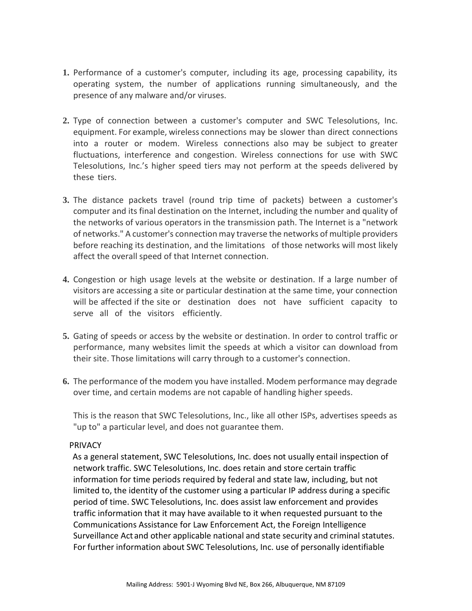- **1.** Performance of a customer's computer, including its age, processing capability, its operating system, the number of applications running simultaneously, and the presence of any malware and/or viruses.
- **2.** Type of connection between a customer's computer and SWC Telesolutions, Inc. equipment. For example, wireless connections may be slower than direct connections into a router or modem. Wireless connections also may be subject to greater fluctuations, interference and congestion. Wireless connections for use with SWC Telesolutions, Inc.'s higher speed tiers may not perform at the speeds delivered by these tiers.
- **3.** The distance packets travel (round trip time of packets) between a customer's computer and its final destination on the Internet, including the number and quality of the networks of various operators in the transmission path. The Internet is a "network of networks." A customer's connection may traverse the networks of multiple providers before reaching its destination, and the limitations of those networks will most likely affect the overall speed of that Internet connection.
- **4.** Congestion or high usage levels at the website or destination. If a large number of visitors are accessing a site or particular destination at the same time, your connection will be affected if the site or destination does not have sufficient capacity to serve all of the visitors efficiently.
- **5.** Gating of speeds or access by the website or destination. In order to control traffic or performance, many websites limit the speeds at which a visitor can download from their site. Those limitations will carry through to a customer's connection.
- **6.** The performance of the modem you have installed. Modem performance may degrade over time, and certain modems are not capable of handling higher speeds.

This is the reason that SWC Telesolutions, Inc., like all other ISPs, advertises speeds as "up to" a particular level, and does not guarantee them.

## **PRIVACY**

As a general statement, SWC Telesolutions, Inc. does not usually entail inspection of network traffic. SWC Telesolutions, Inc. does retain and store certain traffic information for time periods required by federal and state law, including, but not limited to, the identity of the customer using a particular IP address during a specific period of time. SWC Telesolutions, Inc. does assist law enforcement and provides traffic information that it may have available to it when requested pursuant to the Communications Assistance for Law Enforcement Act, the Foreign Intelligence Surveillance Act and other applicable national and state security and criminal statutes. For further information about SWC Telesolutions, Inc. use of personally identifiable